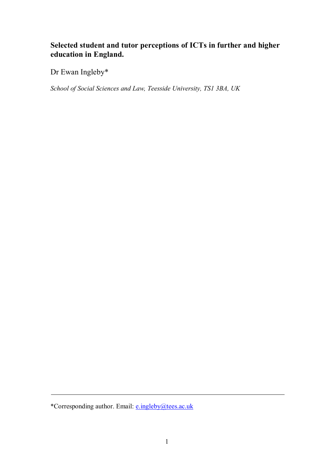# **Selected student and tutor perceptions of ICTs in further and higher education in England.**

Dr Ewan Ingleby\*

*School of Social Sciences and Law, Teesside University, TS1 3BA, UK* 

<sup>\*</sup>Corresponding author. Email: [e.ingleby@tees.ac.uk](mailto:e.ingleby@tees.ac.uk)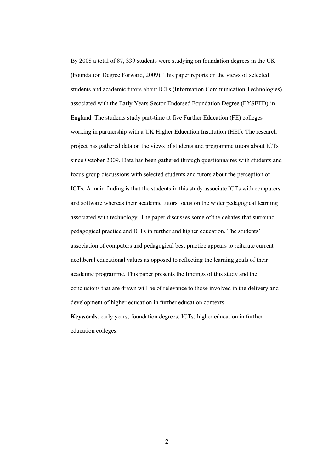By 2008 a total of 87, 339 students were studying on foundation degrees in the UK (Foundation Degree Forward, 2009). This paper reports on the views of selected students and academic tutors about ICTs (Information Communication Technologies) associated with the Early Years Sector Endorsed Foundation Degree (EYSEFD) in England. The students study part-time at five Further Education (FE) colleges working in partnership with a UK Higher Education Institution (HEI). The research project has gathered data on the views of students and programme tutors about ICTs since October 2009. Data has been gathered through questionnaires with students and focus group discussions with selected students and tutors about the perception of ICTs. A main finding is that the students in this study associate ICTs with computers and software whereas their academic tutors focus on the wider pedagogical learning associated with technology. The paper discusses some of the debates that surround pedagogical practice and ICTs in further and higher education. The students' association of computers and pedagogical best practice appears to reiterate current neoliberal educational values as opposed to reflecting the learning goals of their academic programme. This paper presents the findings of this study and the conclusions that are drawn will be of relevance to those involved in the delivery and development of higher education in further education contexts.

**Keywords**: early years; foundation degrees; ICTs; higher education in further education colleges.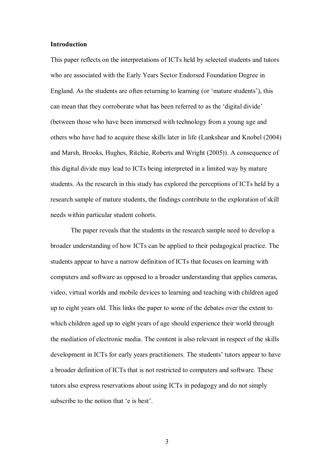#### **Introduction**

This paper reflects on the interpretations of ICTs held by selected students and tutors who are associated with the Early Years Sector Endorsed Foundation Degree in England. As the students are often returning to learning (or 'mature students'), this can mean that they corroborate what has been referred to as the 'digital divide' (between those who have been immersed with technology from a young age and others who have had to acquire these skills later in life (Lankshear and Knobel (2004) and Marsh, Brooks, Hughes, Ritchie, Roberts and Wright (2005)). A consequence of this digital divide may lead to ICTs being interpreted in a limited way by mature students. As the research in this study has explored the perceptions of ICTs held by a research sample of mature students, the findings contribute to the exploration of skill needs within particular student cohorts.

The paper reveals that the students in the research sample need to develop a broader understanding of how ICTs can be applied to their pedagogical practice. The students appear to have a narrow definition of ICTs that focuses on learning with computers and software as opposed to a broader understanding that applies cameras, video, virtual worlds and mobile devices to learning and teaching with children aged up to eight years old. This links the paper to some of the debates over the extent to which children aged up to eight years of age should experience their world through the mediation of electronic media. The content is also relevant in respect of the skills development in ICTs for early years practitioners. The students' tutors appear to have a broader definition of ICTs that is not restricted to computers and software. These tutors also express reservations about using ICTs in pedagogy and do not simply subscribe to the notion that 'e is best'.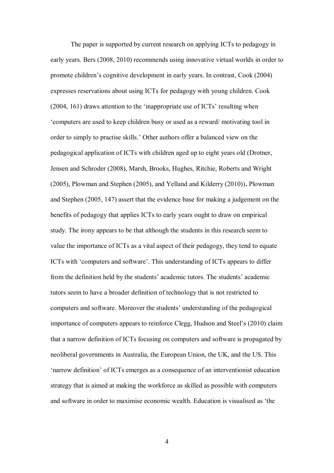The paper is supported by current research on applying ICTs to pedagogy in early years. Bers (2008, 2010) recommends using innovative virtual worlds in order to promote children's cognitive development in early years. In contrast, Cook (2004) expresses reservations about using ICTs for pedagogy with young children. Cook (2004, 161) draws attention to the 'inappropriate use of ICTs' resulting when 'computers are used to keep children busy or used as a reward/ motivating tool in order to simply to practise skills.' Other authors offer a balanced view on the pedagogical application of ICTs with children aged up to eight years old (Drotner, Jensen and Schroder (2008), Marsh, Brooks, Hughes, Ritchie, Roberts and Wright (2005), Plowman and Stephen (2005), and Yelland and Kilderry (2010))**.** Plowman and Stephen (2005, 147) assert that the evidence base for making a judgement on the benefits of pedagogy that applies ICTs to early years ought to draw on empirical study. The irony appears to be that although the students in this research seem to value the importance of ICTs as a vital aspect of their pedagogy, they tend to equate ICTs with 'computers and software'. This understanding of ICTs appears to differ from the definition held by the students' academic tutors. The students' academic tutors seem to have a broader definition of technology that is not restricted to computers and software. Moreover the students' understanding of the pedagogical importance of computers appears to reinforce Clegg, Hudson and Steel's (2010) claim that a narrow definition of ICTs focusing on computers and software is propagated by neoliberal governments in Australia, the European Union, the UK, and the US. This 'narrow definition' of ICTs emerges as a consequence of an interventionist education strategy that is aimed at making the workforce as skilled as possible with computers and software in order to maximise economic wealth. Education is visualised as 'the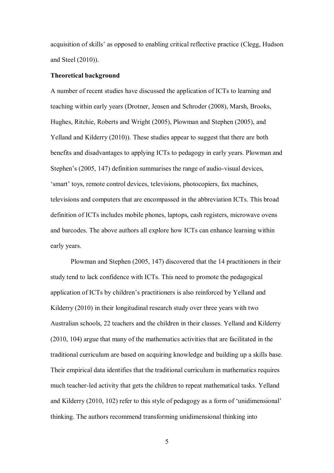acquisition of skills' as opposed to enabling critical reflective practice (Clegg, Hudson and Steel (2010)).

#### **Theoretical background**

A number of recent studies have discussed the application of ICTs to learning and teaching within early years (Drotner, Jensen and Schroder (2008), Marsh, Brooks, Hughes, Ritchie, Roberts and Wright (2005), Plowman and Stephen (2005), and Yelland and Kilderry (2010)). These studies appear to suggest that there are both benefits and disadvantages to applying ICTs to pedagogy in early years. Plowman and Stephen's (2005, 147) definition summarises the range of audio-visual devices, 'smart' toys, remote control devices, televisions, photocopiers, fax machines, televisions and computers that are encompassed in the abbreviation ICTs. This broad definition of ICTs includes mobile phones, laptops, cash registers, microwave ovens and barcodes. The above authors all explore how ICTs can enhance learning within early years.

Plowman and Stephen (2005, 147) discovered that the 14 practitioners in their study tend to lack confidence with ICTs. This need to promote the pedagogical application of ICTs by children's practitioners is also reinforced by Yelland and Kilderry (2010) in their longitudinal research study over three years with two Australian schools, 22 teachers and the children in their classes. Yelland and Kilderry (2010, 104) argue that many of the mathematics activities that are facilitated in the traditional curriculum are based on acquiring knowledge and building up a skills base. Their empirical data identifies that the traditional curriculum in mathematics requires much teacher-led activity that gets the children to repeat mathematical tasks. Yelland and Kilderry (2010, 102) refer to this style of pedagogy as a form of 'unidimensional' thinking. The authors recommend transforming unidimensional thinking into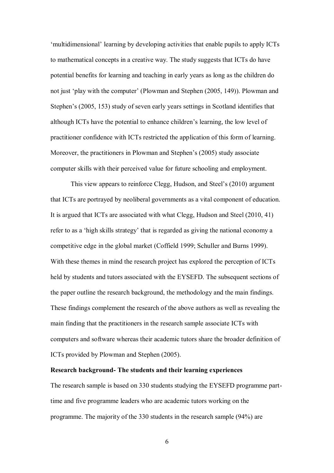'multidimensional' learning by developing activities that enable pupils to apply ICTs to mathematical concepts in a creative way. The study suggests that ICTs do have potential benefits for learning and teaching in early years as long as the children do not just 'play with the computer' (Plowman and Stephen (2005, 149)). Plowman and Stephen's (2005, 153) study of seven early years settings in Scotland identifies that although ICTs have the potential to enhance children's learning, the low level of practitioner confidence with ICTs restricted the application of this form of learning. Moreover, the practitioners in Plowman and Stephen's (2005) study associate computer skills with their perceived value for future schooling and employment.

This view appears to reinforce Clegg, Hudson, and Steel's (2010) argument that ICTs are portrayed by neoliberal governments as a vital component of education. It is argued that ICTs are associated with what Clegg, Hudson and Steel (2010, 41) refer to as a 'high skills strategy' that is regarded as giving the national economy a competitive edge in the global market (Coffield 1999; Schuller and Burns 1999). With these themes in mind the research project has explored the perception of ICTs held by students and tutors associated with the EYSEFD. The subsequent sections of the paper outline the research background, the methodology and the main findings. These findings complement the research of the above authors as well as revealing the main finding that the practitioners in the research sample associate ICTs with computers and software whereas their academic tutors share the broader definition of ICTs provided by Plowman and Stephen (2005).

#### **Research background- The students and their learning experiences**

The research sample is based on 330 students studying the EYSEFD programme parttime and five programme leaders who are academic tutors working on the programme. The majority of the 330 students in the research sample (94%) are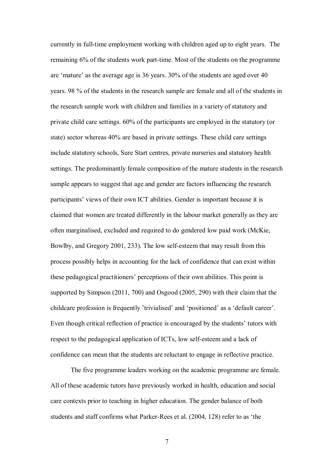currently in full-time employment working with children aged up to eight years. The remaining 6% of the students work part-time. Most of the students on the programme are 'mature' as the average age is 36 years. 30% of the students are aged over 40 years. 98 % of the students in the research sample are female and all of the students in the research sample work with children and families in a variety of statutory and private child care settings. 60% of the participants are employed in the statutory (or state) sector whereas 40% are based in private settings. These child care settings include statutory schools, Sure Start centres, private nurseries and statutory health settings. The predominantly female composition of the mature students in the research sample appears to suggest that age and gender are factors influencing the research participants' views of their own ICT abilities. Gender is important because it is claimed that women are treated differently in the labour market generally as they are often marginalised, excluded and required to do gendered low paid work (McKie, Bowlby, and Gregory 2001, 233). The low self-esteem that may result from this process possibly helps in accounting for the lack of confidence that can exist within these pedagogical practitioners' perceptions of their own abilities. This point is supported by Simpson (2011, 700) and Osgood (2005, 290) with their claim that the childcare profession is frequently 'trivialised' and 'positioned' as a 'default career'. Even though critical reflection of practice is encouraged by the students' tutors with respect to the pedagogical application of ICTs, low self-esteem and a lack of confidence can mean that the students are reluctant to engage in reflective practice.

The five programme leaders working on the academic programme are female. All of these academic tutors have previously worked in health, education and social care contexts prior to teaching in higher education. The gender balance of both students and staff confirms what Parker-Rees et al. (2004, 128) refer to as 'the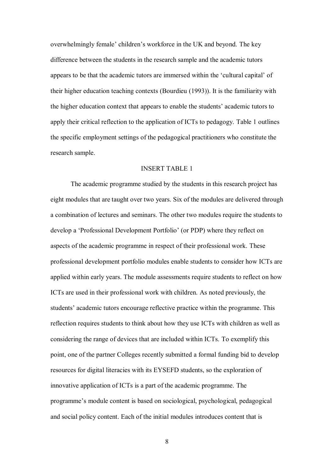overwhelmingly female' children's workforce in the UK and beyond. The key difference between the students in the research sample and the academic tutors appears to be that the academic tutors are immersed within the 'cultural capital' of their higher education teaching contexts (Bourdieu (1993)). It is the familiarity with the higher education context that appears to enable the students' academic tutors to apply their critical reflection to the application of ICTs to pedagogy. Table 1 outlines the specific employment settings of the pedagogical practitioners who constitute the research sample.

#### INSERT TABLE 1

The academic programme studied by the students in this research project has eight modules that are taught over two years. Six of the modules are delivered through a combination of lectures and seminars. The other two modules require the students to develop a 'Professional Development Portfolio' (or PDP) where they reflect on aspects of the academic programme in respect of their professional work. These professional development portfolio modules enable students to consider how ICTs are applied within early years. The module assessments require students to reflect on how ICTs are used in their professional work with children. As noted previously, the students' academic tutors encourage reflective practice within the programme. This reflection requires students to think about how they use ICTs with children as well as considering the range of devices that are included within ICTs. To exemplify this point, one of the partner Colleges recently submitted a formal funding bid to develop resources for digital literacies with its EYSEFD students, so the exploration of innovative application of ICTs is a part of the academic programme. The programme's module content is based on sociological, psychological, pedagogical and social policy content. Each of the initial modules introduces content that is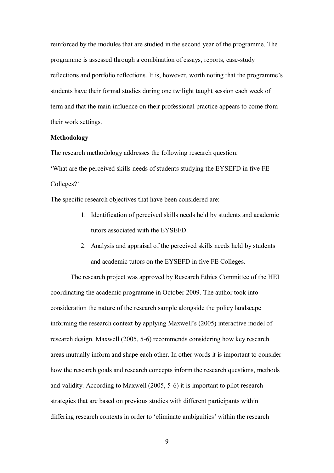reinforced by the modules that are studied in the second year of the programme. The programme is assessed through a combination of essays, reports, case-study reflections and portfolio reflections. It is, however, worth noting that the programme's students have their formal studies during one twilight taught session each week of term and that the main influence on their professional practice appears to come from their work settings.

#### **Methodology**

The research methodology addresses the following research question: 'What are the perceived skills needs of students studying the EYSEFD in five FE Colleges?'

The specific research objectives that have been considered are:

- 1. Identification of perceived skills needs held by students and academic tutors associated with the EYSEFD.
- 2. Analysis and appraisal of the perceived skills needs held by students and academic tutors on the EYSEFD in five FE Colleges.

The research project was approved by Research Ethics Committee of the HEI coordinating the academic programme in October 2009. The author took into consideration the nature of the research sample alongside the policy landscape informing the research context by applying Maxwell's (2005) interactive model of research design. Maxwell (2005, 5-6) recommends considering how key research areas mutually inform and shape each other. In other words it is important to consider how the research goals and research concepts inform the research questions, methods and validity. According to Maxwell (2005, 5-6) it is important to pilot research strategies that are based on previous studies with different participants within differing research contexts in order to 'eliminate ambiguities' within the research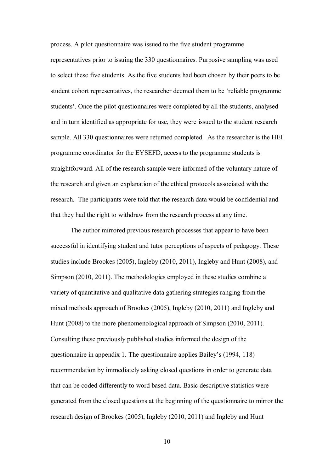process. A pilot questionnaire was issued to the five student programme representatives prior to issuing the 330 questionnaires. Purposive sampling was used to select these five students. As the five students had been chosen by their peers to be student cohort representatives, the researcher deemed them to be 'reliable programme students'. Once the pilot questionnaires were completed by all the students, analysed and in turn identified as appropriate for use, they were issued to the student research sample. All 330 questionnaires were returned completed. As the researcher is the HEI programme coordinator for the EYSEFD, access to the programme students is straightforward. All of the research sample were informed of the voluntary nature of the research and given an explanation of the ethical protocols associated with the research. The participants were told that the research data would be confidential and that they had the right to withdraw from the research process at any time.

The author mirrored previous research processes that appear to have been successful in identifying student and tutor perceptions of aspects of pedagogy. These studies include Brookes (2005), Ingleby (2010, 2011), Ingleby and Hunt (2008), and Simpson (2010, 2011). The methodologies employed in these studies combine a variety of quantitative and qualitative data gathering strategies ranging from the mixed methods approach of Brookes (2005), Ingleby (2010, 2011) and Ingleby and Hunt (2008) to the more phenomenological approach of Simpson (2010, 2011). Consulting these previously published studies informed the design of the questionnaire in appendix 1. The questionnaire applies Bailey's (1994, 118) recommendation by immediately asking closed questions in order to generate data that can be coded differently to word based data. Basic descriptive statistics were generated from the closed questions at the beginning of the questionnaire to mirror the research design of Brookes (2005), Ingleby (2010, 2011) and Ingleby and Hunt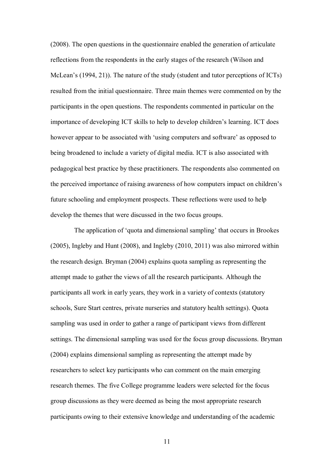(2008). The open questions in the questionnaire enabled the generation of articulate reflections from the respondents in the early stages of the research (Wilson and McLean's (1994, 21)). The nature of the study (student and tutor perceptions of ICTs) resulted from the initial questionnaire. Three main themes were commented on by the participants in the open questions. The respondents commented in particular on the importance of developing ICT skills to help to develop children's learning. ICT does however appear to be associated with 'using computers and software' as opposed to being broadened to include a variety of digital media. ICT is also associated with pedagogical best practice by these practitioners. The respondents also commented on the perceived importance of raising awareness of how computers impact on children's future schooling and employment prospects. These reflections were used to help develop the themes that were discussed in the two focus groups.

 The application of 'quota and dimensional sampling' that occurs in Brookes (2005), Ingleby and Hunt (2008), and Ingleby (2010, 2011) was also mirrored within the research design. Bryman (2004) explains quota sampling as representing the attempt made to gather the views of all the research participants. Although the participants all work in early years, they work in a variety of contexts (statutory schools, Sure Start centres, private nurseries and statutory health settings). Quota sampling was used in order to gather a range of participant views from different settings. The dimensional sampling was used for the focus group discussions. Bryman (2004) explains dimensional sampling as representing the attempt made by researchers to select key participants who can comment on the main emerging research themes. The five College programme leaders were selected for the focus group discussions as they were deemed as being the most appropriate research participants owing to their extensive knowledge and understanding of the academic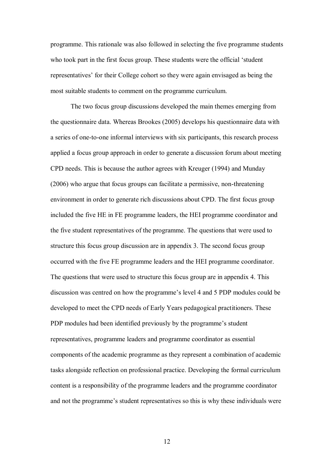programme. This rationale was also followed in selecting the five programme students who took part in the first focus group. These students were the official 'student representatives' for their College cohort so they were again envisaged as being the most suitable students to comment on the programme curriculum.

The two focus group discussions developed the main themes emerging from the questionnaire data. Whereas Brookes (2005) develops his questionnaire data with a series of one-to-one informal interviews with six participants, this research process applied a focus group approach in order to generate a discussion forum about meeting CPD needs. This is because the author agrees with Kreuger (1994) and Munday (2006) who argue that focus groups can facilitate a permissive, non-threatening environment in order to generate rich discussions about CPD. The first focus group included the five HE in FE programme leaders, the HEI programme coordinator and the five student representatives of the programme. The questions that were used to structure this focus group discussion are in appendix 3. The second focus group occurred with the five FE programme leaders and the HEI programme coordinator. The questions that were used to structure this focus group are in appendix 4. This discussion was centred on how the programme's level 4 and 5 PDP modules could be developed to meet the CPD needs of Early Years pedagogical practitioners. These PDP modules had been identified previously by the programme's student representatives, programme leaders and programme coordinator as essential components of the academic programme as they represent a combination of academic tasks alongside reflection on professional practice. Developing the formal curriculum content is a responsibility of the programme leaders and the programme coordinator and not the programme's student representatives so this is why these individuals were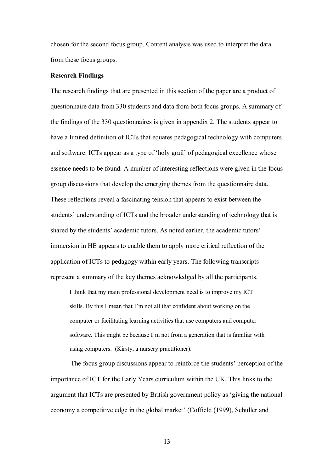chosen for the second focus group. Content analysis was used to interpret the data from these focus groups.

#### **Research Findings**

The research findings that are presented in this section of the paper are a product of questionnaire data from 330 students and data from both focus groups. A summary of the findings of the 330 questionnaires is given in appendix 2. The students appear to have a limited definition of ICTs that equates pedagogical technology with computers and software. ICTs appear as a type of 'holy grail' of pedagogical excellence whose essence needs to be found. A number of interesting reflections were given in the focus group discussions that develop the emerging themes from the questionnaire data. These reflections reveal a fascinating tension that appears to exist between the students' understanding of ICTs and the broader understanding of technology that is shared by the students' academic tutors. As noted earlier, the academic tutors' immersion in HE appears to enable them to apply more critical reflection of the application of ICTs to pedagogy within early years. The following transcripts represent a summary of the key themes acknowledged by all the participants.

I think that my main professional development need is to improve my ICT skills. By this I mean that I'm not all that confident about working on the computer or facilitating learning activities that use computers and computer software. This might be because I'm not from a generation that is familiar with using computers. (Kirsty, a nursery practitioner).

The focus group discussions appear to reinforce the students' perception of the importance of ICT for the Early Years curriculum within the UK. This links to the argument that ICTs are presented by British government policy as 'giving the national economy a competitive edge in the global market' (Coffield (1999), Schuller and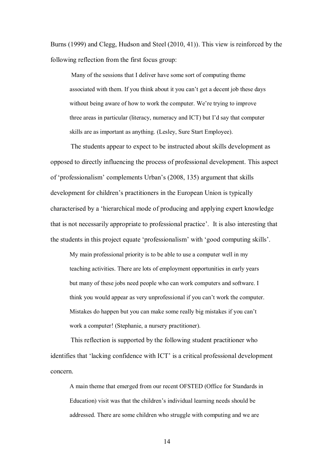Burns (1999) and Clegg, Hudson and Steel (2010, 41)). This view is reinforced by the following reflection from the first focus group:

 Many of the sessions that I deliver have some sort of computing theme associated with them. If you think about it you can't get a decent job these days without being aware of how to work the computer. We're trying to improve three areas in particular (literacy, numeracy and ICT) but I'd say that computer skills are as important as anything. (Lesley, Sure Start Employee).

The students appear to expect to be instructed about skills development as opposed to directly influencing the process of professional development. This aspect of 'professionalism' complements Urban's (2008, 135) argument that skills development for children's practitioners in the European Union is typically characterised by a 'hierarchical mode of producing and applying expert knowledge that is not necessarily appropriate to professional practice'. It is also interesting that the students in this project equate 'professionalism' with 'good computing skills'.

My main professional priority is to be able to use a computer well in my teaching activities. There are lots of employment opportunities in early years but many of these jobs need people who can work computers and software. I think you would appear as very unprofessional if you can't work the computer. Mistakes do happen but you can make some really big mistakes if you can't work a computer! (Stephanie, a nursery practitioner).

This reflection is supported by the following student practitioner who identifies that 'lacking confidence with ICT' is a critical professional development concern.

A main theme that emerged from our recent OFSTED (Office for Standards in Education) visit was that the children's individual learning needs should be addressed. There are some children who struggle with computing and we are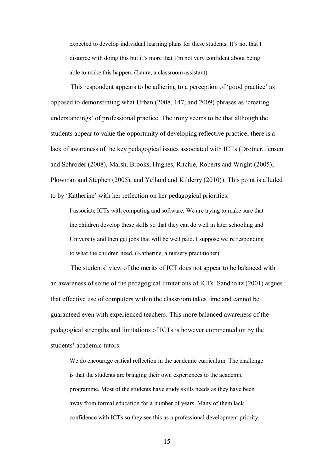expected to develop individual learning plans for these students. It's not that I disagree with doing this but it's more that I'm not very confident about being able to make this happen. (Laura, a classroom assistant).

This respondent appears to be adhering to a perception of 'good practice' as opposed to demonstrating what Urban (2008, 147, and 2009) phrases as 'creating understandings' of professional practice. The irony seems to be that although the students appear to value the opportunity of developing reflective practice, there is a lack of awareness of the key pedagogical issues associated with ICTs (Drotner, Jensen and Schroder (2008), Marsh, Brooks, Hughes, Ritchie, Roberts and Wright (2005), Plowman and Stephen (2005), and Yelland and Kilderry (2010)). This point is alluded to by 'Katherine' with her reflection on her pedagogical priorities.

I associate ICTs with computing and software. We are trying to make sure that the children develop these skills so that they can do well in later schooling and University and then get jobs that will be well paid. I suppose we're responding to what the children need. (Katherine, a nursery practitioner).

The students' view of the merits of ICT does not appear to be balanced with an awareness of some of the pedagogical limitations of ICTs. Sandholtz (2001) argues that effective use of computers within the classroom takes time and cannot be guaranteed even with experienced teachers. This more balanced awareness of the pedagogical strengths and limitations of ICTs is however commented on by the students' academic tutors.

We do encourage critical reflection in the academic curriculum. The challenge is that the students are bringing their own experiences to the academic programme. Most of the students have study skills needs as they have been away from formal education for a number of years. Many of them lack confidence with ICTs so they see this as a professional development priority.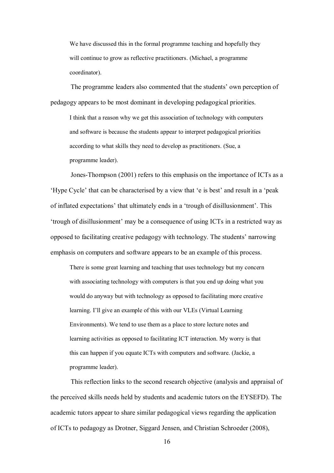We have discussed this in the formal programme teaching and hopefully they will continue to grow as reflective practitioners. (Michael, a programme coordinator).

The programme leaders also commented that the students' own perception of pedagogy appears to be most dominant in developing pedagogical priorities.

I think that a reason why we get this association of technology with computers and software is because the students appear to interpret pedagogical priorities according to what skills they need to develop as practitioners. (Sue, a programme leader).

Jones-Thompson (2001) refers to this emphasis on the importance of ICTs as a 'Hype Cycle' that can be characterised by a view that 'e is best' and result in a 'peak of inflated expectations' that ultimately ends in a 'trough of disillusionment'. This 'trough of disillusionment' may be a consequence of using ICTs in a restricted way as opposed to facilitating creative pedagogy with technology. The students' narrowing emphasis on computers and software appears to be an example of this process.

There is some great learning and teaching that uses technology but my concern with associating technology with computers is that you end up doing what you would do anyway but with technology as opposed to facilitating more creative learning. I'll give an example of this with our VLEs (Virtual Learning Environments). We tend to use them as a place to store lecture notes and learning activities as opposed to facilitating ICT interaction. My worry is that this can happen if you equate ICTs with computers and software. (Jackie, a programme leader).

This reflection links to the second research objective (analysis and appraisal of the perceived skills needs held by students and academic tutors on the EYSEFD). The academic tutors appear to share similar pedagogical views regarding the application of ICTs to pedagogy as Drotner, Siggard Jensen, and Christian Schroeder (2008),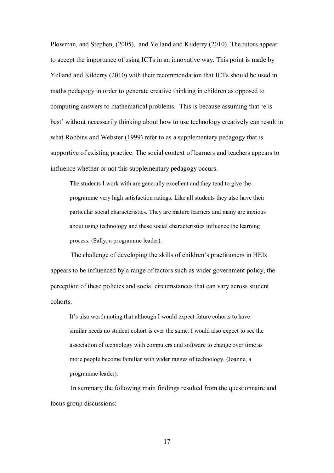Plowman, and Stephen, (2005), and Yelland and Kilderry (2010). The tutors appear to accept the importance of using ICTs in an innovative way. This point is made by Yelland and Kilderry (2010) with their recommendation that ICTs should be used in maths pedagogy in order to generate creative thinking in children as opposed to computing answers to mathematical problems. This is because assuming that 'e is best' without necessarily thinking about how to use technology creatively can result in what Robbins and Webster (1999) refer to as a supplementary pedagogy that is supportive of existing practice. The social context of learners and teachers appears to influence whether or not this supplementary pedagogy occurs.

The students I work with are generally excellent and they tend to give the programme very high satisfaction ratings. Like all students they also have their particular social characteristics. They are mature learners and many are anxious about using technology and these social characteristics influence the learning process. (Sally, a programme leader).

The challenge of developing the skills of children's practitioners in HEIs appears to be influenced by a range of factors such as wider government policy, the perception of these policies and social circumstances that can vary across student cohorts.

It's also worth noting that although I would expect future cohorts to have similar needs no student cohort is ever the same. I would also expect to see the association of technology with computers and software to change over time as more people become familiar with wider ranges of technology. (Joanne, a programme leader).

In summary the following main findings resulted from the questionnaire and focus group discussions: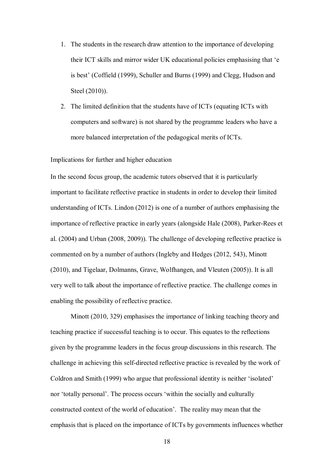- 1. The students in the research draw attention to the importance of developing their ICT skills and mirror wider UK educational policies emphasising that 'e is best' (Coffield (1999), Schuller and Burns (1999) and Clegg, Hudson and Steel (2010)).
- 2. The limited definition that the students have of ICTs (equating ICTs with computers and software) is not shared by the programme leaders who have a more balanced interpretation of the pedagogical merits of ICTs.

#### Implications for further and higher education

In the second focus group, the academic tutors observed that it is particularly important to facilitate reflective practice in students in order to develop their limited understanding of ICTs. Lindon (2012) is one of a number of authors emphasising the importance of reflective practice in early years (alongside Hale (2008), Parker-Rees et al. (2004) and Urban (2008, 2009)). The challenge of developing reflective practice is commented on by a number of authors (Ingleby and Hedges (2012, 543), Minott (2010), and Tigelaar, Dolmanns, Grave, Wolfhangen, and Vleuten (2005)). It is all very well to talk about the importance of reflective practice. The challenge comes in enabling the possibility of reflective practice.

Minott (2010, 329) emphasises the importance of linking teaching theory and teaching practice if successful teaching is to occur. This equates to the reflections given by the programme leaders in the focus group discussions in this research. The challenge in achieving this self-directed reflective practice is revealed by the work of Coldron and Smith (1999) who argue that professional identity is neither 'isolated' nor 'totally personal'. The process occurs 'within the socially and culturally constructed context of the world of education'. The reality may mean that the emphasis that is placed on the importance of ICTs by governments influences whether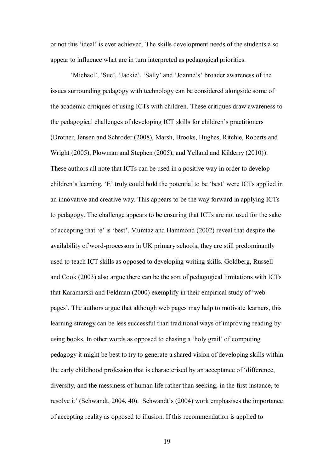or not this 'ideal' is ever achieved. The skills development needs of the students also appear to influence what are in turn interpreted as pedagogical priorities.

'Michael', 'Sue', 'Jackie', 'Sally' and 'Joanne's' broader awareness of the issues surrounding pedagogy with technology can be considered alongside some of the academic critiques of using ICTs with children. These critiques draw awareness to the pedagogical challenges of developing ICT skills for children's practitioners (Drotner, Jensen and Schroder (2008), Marsh, Brooks, Hughes, Ritchie, Roberts and Wright (2005), Plowman and Stephen (2005), and Yelland and Kilderry (2010)). These authors all note that ICTs can be used in a positive way in order to develop children's learning. 'E' truly could hold the potential to be 'best' were ICTs applied in an innovative and creative way. This appears to be the way forward in applying ICTs to pedagogy. The challenge appears to be ensuring that ICTs are not used for the sake of accepting that 'e' is 'best'. Mumtaz and Hammond (2002) reveal that despite the availability of word-processors in UK primary schools, they are still predominantly used to teach ICT skills as opposed to developing writing skills. Goldberg, Russell and Cook (2003) also argue there can be the sort of pedagogical limitations with ICTs that Karamarski and Feldman (2000) exemplify in their empirical study of 'web pages'. The authors argue that although web pages may help to motivate learners, this learning strategy can be less successful than traditional ways of improving reading by using books. In other words as opposed to chasing a 'holy grail' of computing pedagogy it might be best to try to generate a shared vision of developing skills within the early childhood profession that is characterised by an acceptance of 'difference, diversity, and the messiness of human life rather than seeking, in the first instance, to resolve it' (Schwandt, 2004, 40). Schwandt's (2004) work emphasises the importance of accepting reality as opposed to illusion. If this recommendation is applied to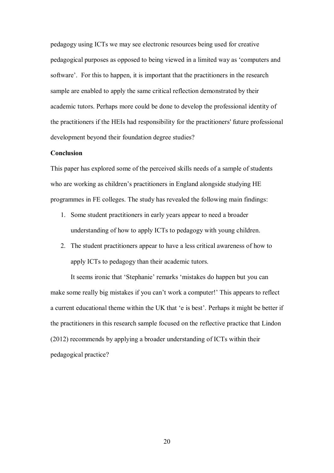pedagogy using ICTs we may see electronic resources being used for creative pedagogical purposes as opposed to being viewed in a limited way as 'computers and software'. For this to happen, it is important that the practitioners in the research sample are enabled to apply the same critical reflection demonstrated by their academic tutors. Perhaps more could be done to develop the professional identity of the practitioners if the HEIs had responsibility for the practitioners' future professional development beyond their foundation degree studies?

#### **Conclusion**

This paper has explored some of the perceived skills needs of a sample of students who are working as children's practitioners in England alongside studying HE programmes in FE colleges. The study has revealed the following main findings:

- 1. Some student practitioners in early years appear to need a broader understanding of how to apply ICTs to pedagogy with young children.
- 2. The student practitioners appear to have a less critical awareness of how to apply ICTs to pedagogy than their academic tutors.

It seems ironic that 'Stephanie' remarks 'mistakes do happen but you can make some really big mistakes if you can't work a computer!' This appears to reflect a current educational theme within the UK that 'e is best'. Perhaps it might be better if the practitioners in this research sample focused on the reflective practice that Lindon (2012) recommends by applying a broader understanding of ICTs within their pedagogical practice?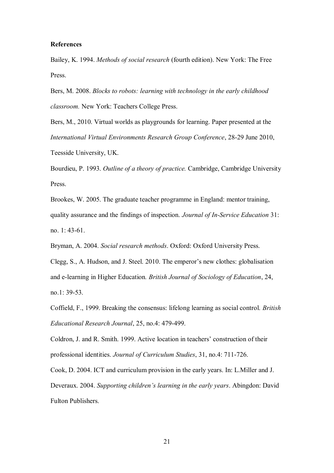#### **References**

Bailey, K. 1994. *Methods of social research* (fourth edition). New York: The Free Press.

Bers, M. 2008. *Blocks to robots: learning with technology in the early childhood classroom.* New York: Teachers College Press.

Bers, M., 2010. Virtual worlds as playgrounds for learning. Paper presented at the *International Virtual Environments Research Group Conference*, 28-29 June 2010, Teesside University, UK.

Bourdieu, P. 1993. *Outline of a theory of practice.* Cambridge, Cambridge University Press.

Brookes, W. 2005. The graduate teacher programme in England: mentor training, quality assurance and the findings of inspection. *Journal of In-Service Education* 31: no. 1: 43-61.

Bryman, A. 2004. *Social research methods*. Oxford: Oxford University Press.

Clegg, S., A. Hudson, and J. Steel. 2010. The emperor's new clothes: globalisation and e-learning in Higher Education*. British Journal of Sociology of Education*, 24, no.1: 39-53.

Coffield, F., 1999. Breaking the consensus: lifelong learning as social control. *British Educational Research Journal*, 25, no.4: 479-499.

Coldron, J. and R. Smith. 1999. Active location in teachers' construction of their professional identities. *Journal of Curriculum Studies*, 31, no.4: 711-726.

Cook, D. 2004. ICT and curriculum provision in the early years. In: L.Miller and J. Deveraux. 2004. *Supporting children's learning in the early years*. Abingdon: David Fulton Publishers.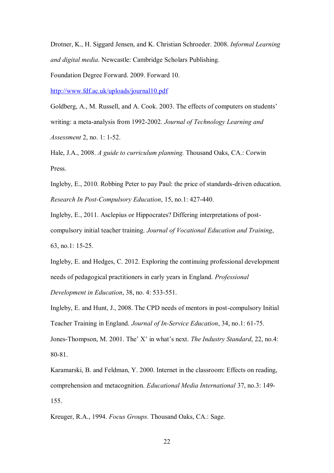Drotner, K., H. Siggard Jensen, and K. Christian Schroeder. 2008. *Informal Learning and digital media*. Newcastle: Cambridge Scholars Publishing.

Foundation Degree Forward. 2009. Forward 10.

<http://www.fdf.ac.uk/uploads/journal10.pdf>

Goldberg, A., M. Russell, and A. Cook. 2003. The effects of computers on students' writing: a meta-analysis from 1992-2002. *Journal of Technology Learning and Assessment* 2, no. 1: 1-52.

Hale, J.A., 2008. *A guide to curriculum planning.* Thousand Oaks, CA.: Corwin Press.

Ingleby, E., 2010. Robbing Peter to pay Paul: the price of standards-driven education. *Research In Post-Compulsory Education*, 15, no.1: 427-440.

Ingleby, E., 2011. Asclepius or Hippocrates? Differing interpretations of postcompulsory initial teacher training. *Journal of Vocational Education and Training*, 63, no.1: 15-25.

Ingleby, E. and Hedges, C. 2012. Exploring the continuing professional development needs of pedagogical practitioners in early years in England. *Professional* 

*Development in Education*, 38, no. 4: 533-551.

Ingleby, E. and Hunt, J., 2008. The CPD needs of mentors in post-compulsory Initial Teacher Training in England. *Journal of In-Service Education*, 34, no.1: 61-75. Jones-Thompson, M. 2001. The' X' in what's next. *The Industry Standard*, 22, no.4: 80-81.

Karamarski, B. and Feldman, Y. 2000. Internet in the classroom: Effects on reading, comprehension and metacognition. *Educational Media International* 37, no.3: 149- 155.

Kreuger, R.A., 1994. *Focus Groups.* Thousand Oaks, CA.: Sage.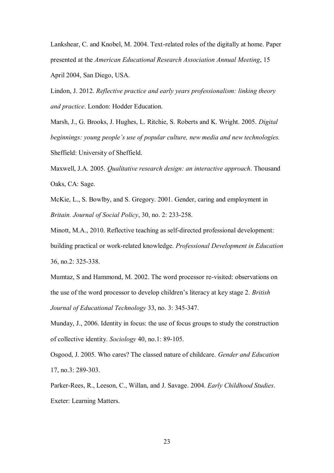Lankshear, C. and Knobel, M. 2004. Text-related roles of the digitally at home. Paper presented at the *American Educational Research Association Annual Meeting*, 15 April 2004, San Diego, USA.

Lindon, J. 2012. *Reflective practice and early years professionalism: linking theory and practice*. London: Hodder Education.

Marsh, J., G. Brooks, J. Hughes, L. Ritchie, S. Roberts and K. Wright. 2005. *Digital beginnings: young people's use of popular culture, new media and new technologies.* Sheffield: University of Sheffield.

Maxwell, J.A. 2005. *Qualitative research design: an interactive approach*. Thousand Oaks, CA: Sage.

McKie, L., S. Bowlby, and S. Gregory. 2001. Gender, caring and employment in *Britain. Journal of Social Policy*, 30, no. 2: 233-258.

Minott, M.A., 2010. Reflective teaching as self-directed professional development: building practical or work-related knowledge. *Professional Development in Education* 36, no.2: 325-338.

Mumtaz, S and Hammond, M. 2002. The word processor re-visited: observations on the use of the word processor to develop children's literacy at key stage 2. *British Journal of Educational Technology* 33, no. 3: 345-347.

Munday, J., 2006. Identity in focus: the use of focus groups to study the construction of collective identity. *Sociology* 40, no.1: 89-105.

Osgood, J. 2005. Who cares? The classed nature of childcare. *Gender and Education* 17, no.3: 289-303.

Parker-Rees, R., Leeson, C., Willan, and J. Savage. 2004. *Early Childhood Studies*. Exeter: Learning Matters.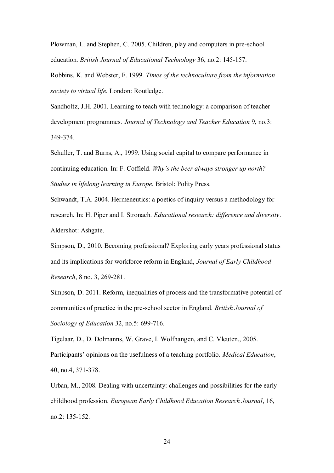Plowman, L. and Stephen, C. 2005. Children, play and computers in pre-school education. *British Journal of Educational Technology* 36, no.2: 145-157.

Robbins, K. and Webster, F. 1999. *Times of the technoculture from the information society to virtual life.* London: Routledge.

Sandholtz, J.H. 2001. Learning to teach with technology: a comparison of teacher development programmes. *Journal of Technology and Teacher Education* 9, no.3: 349-374.

Schuller, T. and Burns, A., 1999. Using social capital to compare performance in continuing education. In: F. Coffield. *Why's the beer always stronger up north? Studies in lifelong learning in Europe.* Bristol: Polity Press.

Schwandt, T.A. 2004. Hermeneutics: a poetics of inquiry versus a methodology for research. In: H. Piper and I. Stronach. *Educational research: difference and diversity*. Aldershot: Ashgate.

Simpson, D., 2010. Becoming professional? Exploring early years professional status and its implications for workforce reform in England, *Journal of Early Childhood Research*, 8 no. 3, 269-281.

Simpson, D. 2011. Reform, inequalities of process and the transformative potential of communities of practice in the pre-school sector in England. *British Journal of Sociology of Education 3*2, no.5: 699-716.

Tigelaar, D., D. Dolmanns, W. Grave, I. Wolfhangen, and C. Vleuten., 2005. Participants' opinions on the usefulness of a teaching portfolio. *Medical Education*, 40, no.4, 371-378.

Urban, M., 2008. Dealing with uncertainty: challenges and possibilities for the early childhood profession. *European Early Childhood Education Research Journal*, 16, no.2: 135-152.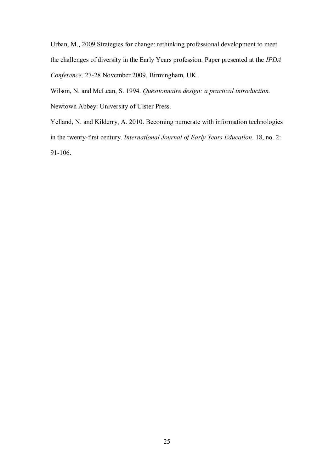Urban, M., 2009.Strategies for change: rethinking professional development to meet the challenges of diversity in the Early Years profession. Paper presented at the *IPDA Conference,* 27-28 November 2009, Birmingham, UK.

Wilson, N. and McLean, S. 1994. *Questionnaire design: a practical introduction.* Newtown Abbey: University of Ulster Press.

Yelland, N. and Kilderry, A. 2010. Becoming numerate with information technologies in the twenty-first century. *International Journal of Early Years Education*. 18, no. 2: 91-106.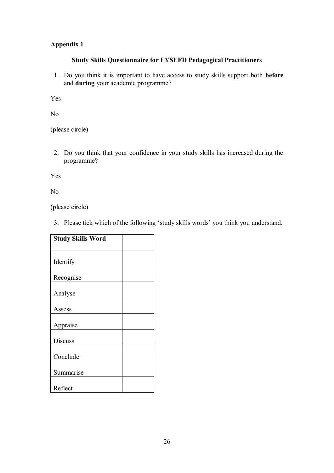# **Appendix 1**

### **Study Skills Questionnaire for EYSEFD Pedagogical Practitioners**

1. Do you think it is important to have access to study skills support both **before** and **during** your academic programme?

Yes

No

(please circle)

2. Do you think that your confidence in your study skills has increased during the programme?

Yes

No

(please circle)

3. Please tick which of the following 'study skills words' you think you understand:

| <b>Study Skills Word</b> |  |
|--------------------------|--|
|                          |  |
| Identify                 |  |
|                          |  |
| Recognise                |  |
| Analyse                  |  |
|                          |  |
| Assess                   |  |
|                          |  |
| Appraise                 |  |
|                          |  |
| <b>Discuss</b>           |  |
|                          |  |
| Conclude                 |  |
|                          |  |
| Summarise                |  |
|                          |  |
| Reflect                  |  |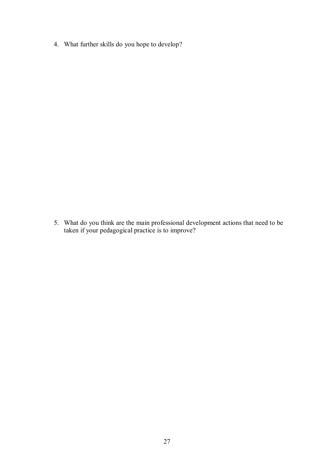4. What further skills do you hope to develop?

5. What do you think are the main professional development actions that need to be taken if your pedagogical practice is to improve?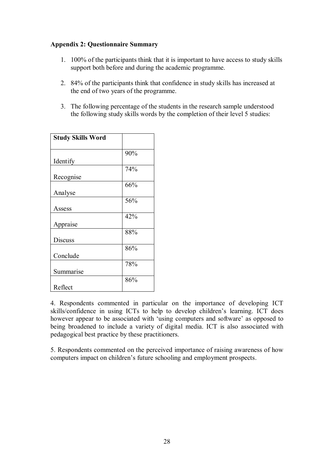# **Appendix 2: Questionnaire Summary**

- 1. 100% of the participants think that it is important to have access to study skills support both before and during the academic programme.
- 2. 84% of the participants think that confidence in study skills has increased at the end of two years of the programme.
- 3. The following percentage of the students in the research sample understood the following study skills words by the completion of their level 5 studies:

| <b>Study Skills Word</b> |     |
|--------------------------|-----|
|                          |     |
|                          | 90% |
| Identify                 |     |
|                          | 74% |
| Recognise                |     |
|                          | 66% |
| Analyse                  |     |
|                          | 56% |
| Assess                   |     |
|                          | 42% |
| Appraise                 |     |
|                          | 88% |
| <b>Discuss</b>           |     |
|                          | 86% |
| Conclude                 |     |
|                          | 78% |
| Summarise                |     |
|                          | 86% |
| Reflect                  |     |

4. Respondents commented in particular on the importance of developing ICT skills/confidence in using ICTs to help to develop children's learning. ICT does however appear to be associated with 'using computers and software' as opposed to being broadened to include a variety of digital media. ICT is also associated with pedagogical best practice by these practitioners.

5. Respondents commented on the perceived importance of raising awareness of how computers impact on children's future schooling and employment prospects.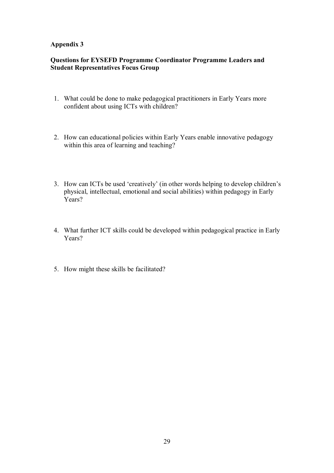# **Appendix 3**

# **Questions for EYSEFD Programme Coordinator Programme Leaders and Student Representatives Focus Group**

- 1. What could be done to make pedagogical practitioners in Early Years more confident about using ICTs with children?
- 2. How can educational policies within Early Years enable innovative pedagogy within this area of learning and teaching?
- 3. How can ICTs be used 'creatively' (in other words helping to develop children's physical, intellectual, emotional and social abilities) within pedagogy in Early Years?
- 4. What further ICT skills could be developed within pedagogical practice in Early Years?
- 5. How might these skills be facilitated?